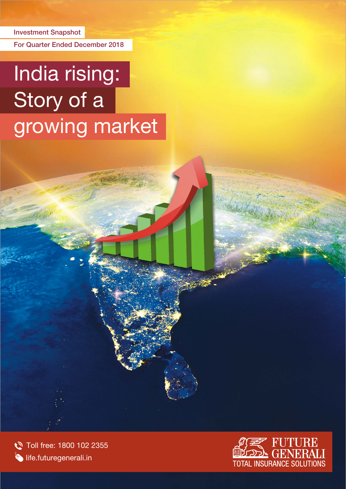Investment Snapshot

For Quarter Ended December 2018

# India rising: Story of a growing market

Toll free: 1800 102 2355  $\bullet$  life.futuregenerali.in

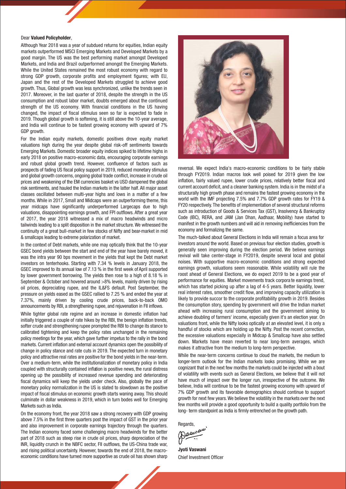### Dear Valued Policyholder,

Although Year 2018 was a year of subdued returns for equities, Indian equity markets outperformed MSCI Emerging Markets and Developed Markets by a good margin. The US was the best performing market amongst Developed Markets, and India and Brazil outperformed amongst the Emerging Markets. While the United States remained the most robust economy with regard to strong GDP growth, corporate profits and employment figures; with EU, Japan and the rest of the Developed Markets struggled to achieve good growth. Thus, Global growth was less synchronized, unlike the trends seen in 2017. Moreover, in the last quarter of 2018, despite the strength in the US consumption and robust labor market, doubts emerged about the continued strength of the US economy. With financial conditions in the US having changed, the impact of fiscal stimulus seen so far is expected to fade in 2019. Though global growth is softening, it is still above the 10-year average, and India will continue to be fastest growing economy with upward of 7% GDP growth.

For the Indian equity markets, domestic positives drove equity market valuations high during the year despite global risk-off sentiments towards Emerging Markets. Domestic broader equity indices spiked to lifetime highs in early 2018 on positive macro-economic data, encouraging corporate earnings and robust global growth trend. However, confluence of factors such as prospects of fading US fiscal policy support in 2019, reduced monetary stimulus and global growth concerns, ongoing global trade conflict, increase in crude oil prices and weakening of the EM currencies basket vs USD dampened the global risk sentiments, and hauled the Indian markets in the latter half. All major asset classes oscillated between multi-year highs and lows in a matter of a few months. While in 2017, Small and Midcaps were an outperforming theme, this year midcaps have significantly underperformed Largecaps due to high valuations, disappointing earnings growth, and FPI outflows. After a great year of 2017, the year 2018 witnessed a mix of macro headwinds and micro tailwinds leading to a split disposition in the market structure. We witnessed the continuity of a great bull-market in few stocks of Nifty and bear-market in mid & smallcaps leading to extreme polarization of market.

In the context of Debt markets, while one may optically think that the 10-year GSEC bond yields between the start and end of the year have barely moved, it was the intra year 90 bps movement in the yields that kept the Debt market investors on tenterhooks. Starting with 7.34 % levels in January 2018, the GSEC improved to its annual low of 7.13 % in the first week of April supported by lower government borrowing. The yields then rose to a high of 8.18 % in September & October and hovered around >8% levels, mainly driven by rising oil prices, depreciating rupee, and the IL&FS default. Post September, the pressure on yields eased as the GSEC rallied to 7.25 % and ended the year at 7.37%, mainly driven by cooling crude prices, back-to-back OMO announcements by RBI, a strengthening rupee, and rejuvenation in FII inflows.

While tighter global rate regime and an increase in domestic inflation had initially triggered a couple of rate hikes by the RBI, the benign inflation trends, softer crude and strengthening rupee prompted the RBI to change its stance to calibrated tightening and keep the policy rates unchanged in the remaining policy meetings for the year, which gave further impetus to the rally in the bond markets. Current inflation and external account dynamics open the possibility of change in policy stance and rate cuts in 2019. The expected turn in monetary policy and attractive real rates are positive for the bond yields in the near-term. Over a medium-term, while the institutionalization of monetary policy in India coupled with structurally contained inflation is positive news, the rural distress opening up the possibility of increased revenue spending and deteriorating fiscal dynamics will keep the yields under check. Also, globally the pace of monetary policy normalization in the US is slated to slowdown as the positive impact of fiscal stimulus on economic growth starts waning away. This should culminate in dollar weakness in 2019, which in turn bodes well for Emerging Markets such as India.

On the economy front, the year 2018 saw a strong recovery with GDP growing above 7.5% in the first three quarters post the impact of GST in the prior year and also improvement in corporate earnings trajectory through the quarters. The Indian economy faced some challenging macro headwinds for the better part of 2018 such as steep rise in crude oil prices, sharp depreciation of the INR, liquidity crunch in the NBFC sector, FII outflows, the US-China trade war, and rising political uncertainty. However, towards the end of 2018, the macroeconomic conditions have turned more supportive as crude oil has shown sharp



reversal. We expect India's macro-economic conditions to be fairly stable through FY2019. Indian macros look well poised for 2019 given the low inflation, fairly valued rupee, lower crude prices, relatively better fiscal and current account deficit, and a cleaner banking system. India is in the midst of a structurally high growth phase and remains the fastest growing economy in the world with the IMF projecting 7.5% and 7.7% GDP growth rates for FY19 & FY20 respectively. The benefits of implementation of several structural reforms such as introduction of Goods & Services Tax (GST), Insolvency & Bankruptcy Code (IBC), RERA, and JAM (Jan Dhan, Aadhaar, Mobility) have started to manifest in the growth numbers and will aid in removing inefficiencies from the economy and formalizing the same.

The much-talked about General Elections in India will remain a focus area for investors around the world. Based on previous four election studies, growth is generally seen improving during the election period. We believe earnings revival will take center-stage in FY2019, despite several local and global noises. With supportive macro-economic conditions and strong expected earnings growth, valuations seem reasonable. While volatility will rule the roost ahead of General Elections, we do expect 2019 to be a good year of performance for equities. Market movements track corpora te earnings trend, which has started picking up after a lag of 4-5 years. Better liquidity, lower real interest rates, smoother credit flow, and improving capacity utilization is likely to provide succor to the corporate profitability growth in 2019. Besides the consumption story, spending by government will drive the Indian market ahead with increasing rural consumption and the government aiming to achieve doubling of farmers' income, especially given it's an election year. On valuations front, while the Nifty looks optically at an elevated level, it is only a handful of stocks which are holding up the Nifty. Post the recent correction, the excessive valuations especially in Midcap & Smallcap have also settled down. Markets have mean reverted to near long-term averages, which makes it attractive from the medium to long-term perspective.

While the near-term concerns continue to cloud the markets, the medium to longer-term outlook for the Indian markets looks promising. While we are cognizant that in the next few months the markets could be injected with a bout of volatility with events such as General Elections, we believe that it will not have much of impact over the longer run, irrespective of the outcome. We believe, India will continue to be the fastest growing economy with upward of 7% GDP growth and its favorable demographics should continue to support growth for next few years.We believe the volatility in the markets over the next few months will provide a good opportunity to build a quality portfolio from the long- term standpoint as India is firmly entrenched on the growth path.

Regards,<br>Masuraus

Jyoti Vaswani Chief Investment Officer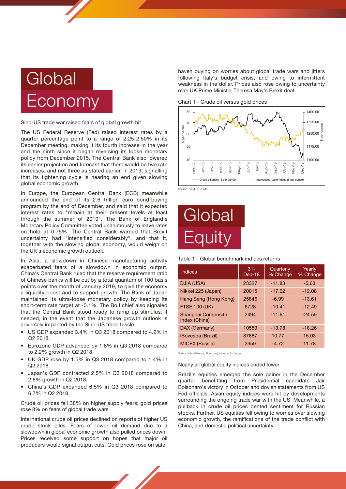

Sino-US trade war raised fears of global growth hit

The US Federal Reserve (Fed) raised interest rates by a quarter percentage point to a range of 2.25-2.50% in its December meeting, making it its fourth increase in the year and the ninth since it began reversing its loose monetary policy from December 2015. The Central Bank also lowered its earlier projection and forecast that there would be two rate increases, and not three as stated earlier, in 2019, signalling that its tightening cycle is nearing an end given slowing global economic growth.

In Europe, the European Central Bank (ECB) meanwhile announced the end of its 2.6 trillion euro bond-buying program by the end of December, and said that it expected interest rates to "remain at their present levels at least through the summer of 2019". The Bank of England's Monetary Policy Committee voted unanimously to leave rates on hold at 0.75%. The Central Bank warned that Brexit uncertainty had "intensified considerably", and that it, together with the slowing global economy, would weigh on the UK's economic growth outlook.

In Asia, a slowdown in Chinese manufacturing activity exacerbated fears of a slowdown in economic output. China's Central Bank ruled that the reserve requirement ratio of Chinese banks will be cut by a total quantum of 100 basis points over the month of January 2019, to give the economy a liquidity boost and to support growth. The Bank of Japan maintained its ultra-loose monetary policy by keeping its short-term rate target at -0.1%. The BoJ chief also signaled that the Central Bank stood ready to ramp up stimulus, if needed, in the event that the Japanese growth outlook is adversely impacted by the Sino-US trade tussle.

- US GDP expanded 3.4% in Q3 2018 compared to 4.2% in Q2 2018.
- Eurozone GDP advanced by 1.6% in Q3 2018 compared to 2.2% growth in Q2 2018. •
- UK GDP rose by 1.5% in Q3 2018 compared to 1.4% in Q2 2018. •
- Japan's GDP contracted 2.5% in Q3 2018 compared to 2.8% growth in Q2 2018. •
- China's GDP expanded 6.5% in Q3 2018 compared to 6.7% in Q2 2018. •

Crude oil prices fell 38% on higher supply fears; gold prices rose 8% on fears of global trade wars

International crude oil prices declined on reports of higher US crude stock piles. Fears of lower oil demand due to a slowdown in global economic growth also pulled prices down. Prices received some support on hopes that major oil producers would signal output cuts. Gold prices rose on safehaven buying on worries about global trade wars and jitters following Italy's budget crisis, and owing to intermittent weakness in the dollar. Prices also rose owing to uncertainty over UK Prime Minister Theresa May's Brexit deal.

Chart 1 - Crude oil versus gold prices



Source: NYMEX, LBMA



Table 1 - Global benchmark indices returns

| Indices                             | $31 -$<br>Dec-18 | Quarterly<br>% Change | Yearly<br>% Change |
|-------------------------------------|------------------|-----------------------|--------------------|
| DJIA (USA)                          | 23327            | $-11.83$              | $-5.63$            |
| Nikkei 225 (Japan)                  | 20015            | $-17.02$              | $-12.08$           |
| Hang Seng (Hong Kong)               | 25846            | $-6.99$               | $-13.61$           |
| <b>FTSE 100 (UK)</b>                | 6728             | $-10.41$              | $-12.49$           |
| Shanghai Composite<br>Index (China) | 2494             | $-11.61$              | $-24.59$           |
| DAX (Germany)                       | 10559            | $-13.78$              | $-18.26$           |
| <i><b>iBovespa (Brazil)</b></i>     | 87887            | 10.77                 | 15.03              |
| <b>MICEX (Russia)</b>               | 2359             | $-4.72$               | 11.78              |

Source: Yahoo Finance, Bloomberg, Moscow Exchange

Nearly all global equity indices ended lower

Brazil's equities emerged the sole gainer in the December quarter benefitting from Presidential candidate Jair Bolsonaro's victory in October and dovish statements from US Fed officials. Asian equity indices were hit by developments surrounding the ongoing trade war with the US. Meanwhile, a pullback in crude oil prices dented sentiment for Russian stocks. Further, US equities fell owing to worries over slowing economic growth, the ramifications of the trade conflict with China, and domestic political uncertainty.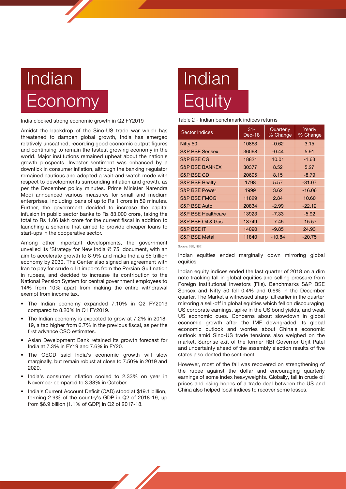### Indian **Economy**

India clocked strong economic growth in Q2 FY2019

Amidst the backdrop of the Sino-US trade war which has threatened to dampen global growth, India has emerged relatively unscathed, recording good economic output figures and continuing to remain the fastest growing economy in the world. Major institutions remained upbeat about the nation's growth prospects. Investor sentiment was enhanced by a downtick in consumer inflation, although the banking r egulator remained cautious and adopted a wait-and-watch mode with respect to developments surrounding inflation and growth, as per the December policy minutes. Prime Minister Narendra Modi announced various measures for small and medium enterprises, including loans of up to Rs 1 crore in 59 minutes. Further, the government decided to increase the capital infusion in public sector banks to Rs 83,000 crore, taking the total to Rs 1.06 lakh crore for the current fiscal in addition to launching a scheme that aimed to provide cheaper loans to start-ups in the cooperative sector.

Among other important developments, the government unveiled its 'Strategy for New India @ 75' document, with an aim to accelerate growth to 8-9% and make India a \$5 trillion economy by 2030. The Center also signed an agreement with Iran to pay for crude oil it imports from the Persian Gulf nation in rupees, and decided to increase its contribution to the National Pension System for central government employees to 14% from 10% apart from making the entire withdrawal exempt from income tax.

- The Indian economy expanded 7.10% in Q2 FY2019 compared to 8.20% in Q1 FY2019.
- The Indian economy is expected to grow at 7.2% in 2018-19, a tad higher from 6.7% in the previous fiscal, as per the first advance CSO estimates.
- Asian Development Bank retained its growth forecast for India at 7.3% in FY19 and 7.6% in FY20. •
- The OECD said India's economic growth will slow marginally, but remain robust at close to 7.50% in 2019 and 2020. •
- India's consumer inflation cooled to 2.33% on year in November compared to 3.38% in October. •
- India's Current Account Deficit (CAD) stood at \$19.1 billion, forming 2.9% of the country's GDP in Q2 of 2018-19, up from \$6.9 billion (1.1% of GDP) in Q2 of 2017-18. •

# Indian **Equity**

### Table 2 - Indian benchmark indices returns

| <b>Sector Indices</b>         | $31 -$<br>Dec-18 | Quarterly<br>% Change | Yearly<br>% Change |
|-------------------------------|------------------|-----------------------|--------------------|
| Nifty 50                      | 10863            | $-0.62$               | 3.15               |
| <b>S&amp;P BSE Sensex</b>     | 36068            | $-0.44$               | 5.91               |
| <b>S&amp;P BSE CG</b>         | 18821            | 10.01                 | $-1.63$            |
| <b>S&amp;P BSE BANKEX</b>     | 30377            | 8.52                  | 5.27               |
| <b>S&amp;P BSE CD</b>         | 20695            | 8.15                  | $-8.79$            |
| <b>S&amp;P BSE Realty</b>     | 1798             | 5.57                  | $-31.07$           |
| <b>S&amp;P BSE Power</b>      | 1999             | 3.62                  | $-16.06$           |
| <b>S&amp;P BSE FMCG</b>       | 11829            | 2.84                  | 10.60              |
| <b>S&amp;P BSE Auto</b>       | 20834            | $-2.99$               | $-22.12$           |
| <b>S&amp;P BSE Healthcare</b> | 13923            | $-7.33$               | $-5.92$            |
| S&P BSE Oil & Gas             | 13749            | $-7.45$               | $-15.57$           |
| <b>S&amp;P BSE IT</b>         | 14090            | $-9.85$               | 24.93              |
| <b>S&amp;P BSE Metal</b>      | 11840            | $-10.84$              | $-20.75$           |

Source: BSE, NSE

Indian equities ended marginally down mirroring global equities

Indian equity indices ended the last quarter of 2018 on a dim note tracking fall in global equities and selling pressure from Foreign Institutional Investors (FIIs). Benchmarks S&P BSE Sensex and Nifty 50 fell 0.4% and 0.6% in the December quarter. The Market a witnessed sharp fall earlier in the quarter mirroring a sell-off in global equities which fell on discouraging US corporate earnings, spike in the US bond yields, and weak US economic cues. Concerns about slowdown in global economic growth after the IMF downgraded its global economic outlook and worries about China's economic outlook amid Sino-US trade tensions also weighed on the market. Surprise exit of the former RBI Governor Urijt Patel and uncertainty ahead of the assembly election results of five states also dented the sentiment.

However, most of the fall was recovered on strengthening of the rupee against the dollar and encouraging quarterly earnings of some index heavyweights. Globally, fall in crude oil prices and rising hopes of a trade deal between the US and China also helped local indices to recover some losses.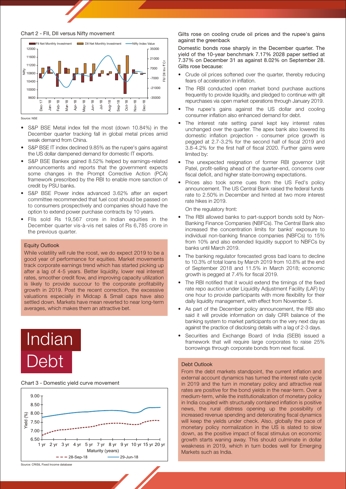



Source: NSE

- S&P BSE Metal index fell the most (down 10.84%) in the December quarter tracking fall in global metal prices amid weak demand from China.
- S&P BSE IT index declined 9.85% as the rupee's gains against the US dollar dampened demand for domestic IT exports.
- S&P BSE Bankex gained 8.52% helped by earnings-related announcements and reports that the government expects some changes in the Prompt Corrective Action (PCA) framework prescribed by the RBI to enable more sanction of credit by PSU banks.
- S&P BSE Power index advanced 3.62% after an expert committee recommended that fuel cost should be passed on to consumers prospectively and companies should have the option to extend power purchase contracts by 10 years.
- FIIs sold Rs 19,567 crore in Indian equities in the December quarter vis-à-vis net sales of Rs 6,785 crore in the previous quarter.

### Equity Outlook

While volatility will rule the roost, we do expect 2019 to be a good year of performance for equities. Market movements track corporate earnings trend which has started picking up after a lag of 4-5 years. Better liquidity, lower real interest rates, smoother credit flow, and improving capacity utilization is likely to provide succour to the corporate profitability growth in 2019. Post the recent correction, the excessive valuations especially in Midcap & Small caps have also settled down. Markets have mean reverted to near long-term averages, which makes them an attractive bet.

# Indian Debt

#### Chart 3 - Domestic yield curve movement



Domestic bonds rose sharply in the December quarter. The yield of the 10-year benchmark 7.17% 2028 paper settled at 7.37% on December 31 as against 8.02% on September 28. Gilts rose because:

- Crude oil prices softened over the quarter, thereby reducing fears of acceleration in inflation.
- The RBI conducted open market bond purchase auctions frequently to provide liquidity, and pledged to continue with gilt repurchases via open market operations through January 2019.
- The rupee's gains against the US dollar and cooling consumer inflation also enhanced demand for debt.
- The interest rate setting panel kept key interest rates unchanged over the quarter. The apex bank also lowered its domestic inflation projection - consumer price growth is pegged at 2.7-3.2% for the second half of fiscal 2019 and 3.8-4.2% for the first half of fiscal 2020. Further gains were limited by:
- The unexpected resignation of former RBI governor Urjit Patel, profit-selling ahead of the quarter-end, concerns over fiscal deficit, and higher state-borrowing expectations.
- Prices also took some cues from the US Fed's policy announcement. The US Central Bank raised the federal funds rate to 2.50% in December and hinted at two more interest rate hikes in 2019.

On the regulatory front:

- The RBI allowed banks to part-support bonds sold by Non-Banking Finance Companies (NBFCs). The Central Bank also increased the concentration limits for banks' exposure to individual non-banking finance companies (NBFCs) to 15% from 10% and also extended liquidity support to NBFCs by banks until March 2019.
- The banking regulator forecasted gross bad loans to decline to 10.3% of total loans by March 2019 from 10.8% at the end of September 2018 and 11.5% in March 2018; economic growth is pegged at 7.4% for fiscal 2019.
- The RBI notified that it would extend the timings of the fixed rate repo auction under Liquidity Adjustment Facility (LAF) by one hour to provide participants with more flexibility for their daily liquidity management, with effect from November 5.
- As part of the December policy announcement, the RBI also said it will provide information on daily CRR balance of the banking system to market participants on the very next day as against the practice of disclosing details with a lag of 2-3 days.
- Securities and Exchange Board of India (SEBI) issued a framework that will require large corporates to raise 25% borrowings through corporate bonds from next fiscal.

#### Debt Outlook

From the debt markets standpoint, the current inflation and external account dynamics has turned the interest rate cycle in 2019 and the turn in monetary policy and attractive real rates are positive for the bond yields in the near-term. Over a medium-term, while the institutionalization of monetary policy in India coupled with structurally contained inflation is positive news, the rural distress opening up the possibility of increased revenue spending and deteriorating fiscal dynamics will keep the yields under check. Also, globally the pace of monetary policy normalization in the US is slated to slow down, as the positive impact of fiscal stimulus on economic growth starts waning away. This should culminate in dollar weakness in 2019, which in turn bodes well for Emerging Markets such as India.

Gilts rose on cooling crude oil prices and the rupee's gains against the greenback

Source: CRISIL Fixed Income database